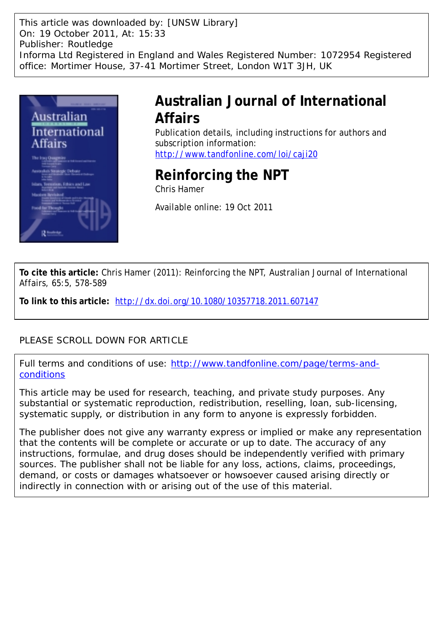This article was downloaded by: [UNSW Library] On: 19 October 2011, At: 15:33 Publisher: Routledge Informa Ltd Registered in England and Wales Registered Number: 1072954 Registered office: Mortimer House, 37-41 Mortimer Street, London W1T 3JH, UK



# **Australian Journal of International Affairs**

Publication details, including instructions for authors and subscription information: <http://www.tandfonline.com/loi/caji20>

# **Reinforcing the NPT**

Chris Hamer

Available online: 19 Oct 2011

**To cite this article:** Chris Hamer (2011): Reinforcing the NPT, Australian Journal of International Affairs, 65:5, 578-589

**To link to this article:** <http://dx.doi.org/10.1080/10357718.2011.607147>

### PLEASE SCROLL DOWN FOR ARTICLE

Full terms and conditions of use: [http://www.tandfonline.com/page/terms-and](http://www.tandfonline.com/page/terms-and-conditions)[conditions](http://www.tandfonline.com/page/terms-and-conditions)

This article may be used for research, teaching, and private study purposes. Any substantial or systematic reproduction, redistribution, reselling, loan, sub-licensing, systematic supply, or distribution in any form to anyone is expressly forbidden.

The publisher does not give any warranty express or implied or make any representation that the contents will be complete or accurate or up to date. The accuracy of any instructions, formulae, and drug doses should be independently verified with primary sources. The publisher shall not be liable for any loss, actions, claims, proceedings, demand, or costs or damages whatsoever or howsoever caused arising directly or indirectly in connection with or arising out of the use of this material.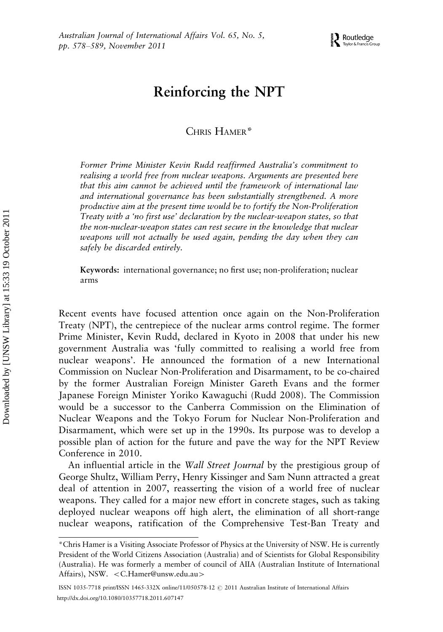## Reinforcing the NPT

CHRIS HAMER\*

Former Prime Minister Kevin Rudd reaffirmed Australia's commitment to realising a world free from nuclear weapons. Arguments are presented here that this aim cannot be achieved until the framework of international law and international governance has been substantially strengthened. A more productive aim at the present time would be to fortify the Non-Proliferation Treaty with a 'no first use' declaration by the nuclear-weapon states, so that the non-nuclear-weapon states can rest secure in the knowledge that nuclear weapons will not actually be used again, pending the day when they can safely be discarded entirely.

Keywords: international governance; no first use; non-proliferation; nuclear arms

Recent events have focused attention once again on the Non-Proliferation Treaty (NPT), the centrepiece of the nuclear arms control regime. The former Prime Minister, Kevin Rudd, declared in Kyoto in 2008 that under his new government Australia was 'fully committed to realising a world free from nuclear weapons'. He announced the formation of a new International Commission on Nuclear Non-Proliferation and Disarmament, to be co-chaired by the former Australian Foreign Minister Gareth Evans and the former Japanese Foreign Minister Yoriko Kawaguchi (Rudd 2008). The Commission would be a successor to the Canberra Commission on the Elimination of Nuclear Weapons and the Tokyo Forum for Nuclear Non-Proliferation and Disarmament, which were set up in the 1990s. Its purpose was to develop a possible plan of action for the future and pave the way for the NPT Review Conference in 2010.

An influential article in the *Wall Street Journal* by the prestigious group of George Shultz, William Perry, Henry Kissinger and Sam Nunn attracted a great deal of attention in 2007, reasserting the vision of a world free of nuclear weapons. They called for a major new effort in concrete stages, such as taking deployed nuclear weapons off high alert, the elimination of all short-range nuclear weapons, ratification of the Comprehensive Test-Ban Treaty and

ISSN 1035-7718 print/ISSN 1465-332X online/11/050578-12 @ 2011 Australian Institute of International Affairs <http://dx.doi.org/10.1080/10357718.2011.607147>

<sup>\*</sup>Chris Hamer is a Visiting Associate Professor of Physics at the University of NSW. He is currently President of the World Citizens Association (Australia) and of Scientists for Global Responsibility (Australia). He was formerly a member of council of AIIA (Australian Institute of International Affairs), NSW. <C.Hamer@unsw.edu.au>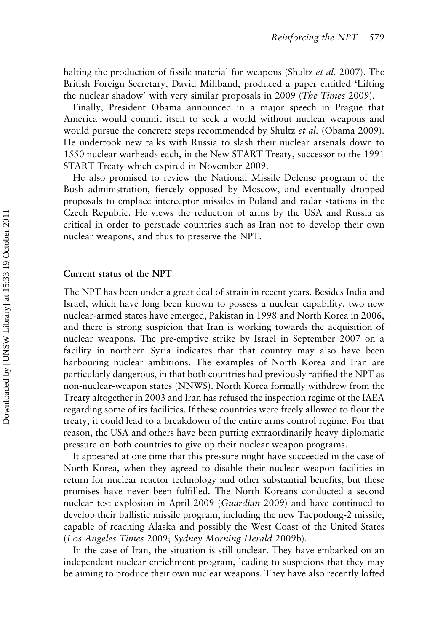halting the production of fissile material for weapons (Shultz *et al.* 2007). The British Foreign Secretary, David Miliband, produced a paper entitled 'Lifting the nuclear shadow' with very similar proposals in 2009 (The Times 2009).

Finally, President Obama announced in a major speech in Prague that America would commit itself to seek a world without nuclear weapons and would pursue the concrete steps recommended by Shultz *et al.* (Obama 2009). He undertook new talks with Russia to slash their nuclear arsenals down to 1550 nuclear warheads each, in the New START Treaty, successor to the 1991 START Treaty which expired in November 2009.

He also promised to review the National Missile Defense program of the Bush administration, fiercely opposed by Moscow, and eventually dropped proposals to emplace interceptor missiles in Poland and radar stations in the Czech Republic. He views the reduction of arms by the USA and Russia as critical in order to persuade countries such as Iran not to develop their own nuclear weapons, and thus to preserve the NPT.

#### Current status of the NPT

The NPT has been under a great deal of strain in recent years. Besides India and Israel, which have long been known to possess a nuclear capability, two new nuclear-armed states have emerged, Pakistan in 1998 and North Korea in 2006, and there is strong suspicion that Iran is working towards the acquisition of nuclear weapons. The pre-emptive strike by Israel in September 2007 on a facility in northern Syria indicates that that country may also have been harbouring nuclear ambitions. The examples of North Korea and Iran are particularly dangerous, in that both countries had previously ratified the NPT as non-nuclear-weapon states (NNWS). North Korea formally withdrew from the Treaty altogether in 2003 and Iran has refused the inspection regime of the IAEA regarding some of its facilities. If these countries were freely allowed to flout the treaty, it could lead to a breakdown of the entire arms control regime. For that reason, the USA and others have been putting extraordinarily heavy diplomatic pressure on both countries to give up their nuclear weapon programs.

It appeared at one time that this pressure might have succeeded in the case of North Korea, when they agreed to disable their nuclear weapon facilities in return for nuclear reactor technology and other substantial benefits, but these promises have never been fulfilled. The North Koreans conducted a second nuclear test explosion in April 2009 (Guardian 2009) and have continued to develop their ballistic missile program, including the new Taepodong-2 missile, capable of reaching Alaska and possibly the West Coast of the United States (Los Angeles Times 2009; Sydney Morning Herald 2009b).

In the case of Iran, the situation is still unclear. They have embarked on an independent nuclear enrichment program, leading to suspicions that they may be aiming to produce their own nuclear weapons. They have also recently lofted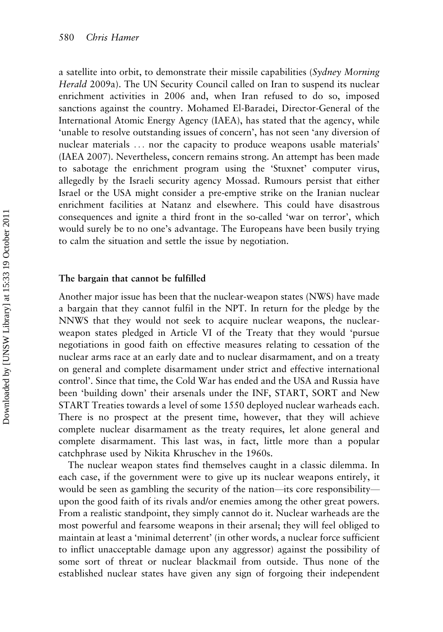a satellite into orbit, to demonstrate their missile capabilities (Sydney Morning Herald 2009a). The UN Security Council called on Iran to suspend its nuclear enrichment activities in 2006 and, when Iran refused to do so, imposed sanctions against the country. Mohamed El-Baradei, Director-General of the International Atomic Energy Agency (IAEA), has stated that the agency, while 'unable to resolve outstanding issues of concern', has not seen 'any diversion of nuclear materials ... nor the capacity to produce weapons usable materials' (IAEA 2007). Nevertheless, concern remains strong. An attempt has been made to sabotage the enrichment program using the 'Stuxnet' computer virus, allegedly by the Israeli security agency Mossad. Rumours persist that either Israel or the USA might consider a pre-emptive strike on the Iranian nuclear enrichment facilities at Natanz and elsewhere. This could have disastrous consequences and ignite a third front in the so-called 'war on terror', which would surely be to no one's advantage. The Europeans have been busily trying to calm the situation and settle the issue by negotiation.

#### The bargain that cannot be fulfilled

Another major issue has been that the nuclear-weapon states (NWS) have made a bargain that they cannot fulfil in the NPT. In return for the pledge by the NNWS that they would not seek to acquire nuclear weapons, the nuclearweapon states pledged in Article VI of the Treaty that they would 'pursue negotiations in good faith on effective measures relating to cessation of the nuclear arms race at an early date and to nuclear disarmament, and on a treaty on general and complete disarmament under strict and effective international control'. Since that time, the Cold War has ended and the USA and Russia have been 'building down' their arsenals under the INF, START, SORT and New START Treaties towards a level of some 1550 deployed nuclear warheads each. There is no prospect at the present time, however, that they will achieve complete nuclear disarmament as the treaty requires, let alone general and complete disarmament. This last was, in fact, little more than a popular catchphrase used by Nikita Khruschev in the 1960s.

The nuclear weapon states find themselves caught in a classic dilemma. In each case, if the government were to give up its nuclear weapons entirely, it would be seen as gambling the security of the nation—its core responsibility upon the good faith of its rivals and/or enemies among the other great powers. From a realistic standpoint, they simply cannot do it. Nuclear warheads are the most powerful and fearsome weapons in their arsenal; they will feel obliged to maintain at least a 'minimal deterrent' (in other words, a nuclear force sufficient to inflict unacceptable damage upon any aggressor) against the possibility of some sort of threat or nuclear blackmail from outside. Thus none of the established nuclear states have given any sign of forgoing their independent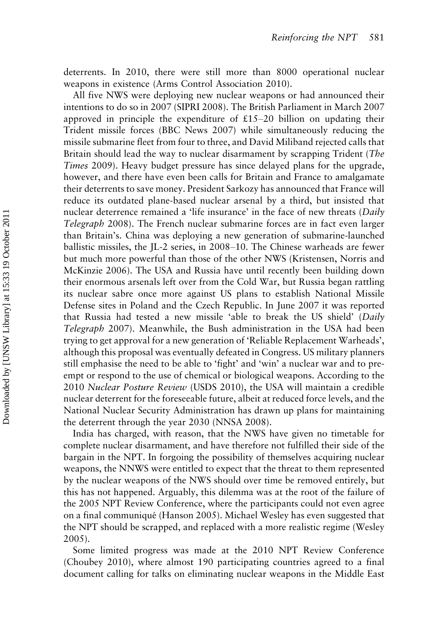deterrents. In 2010, there were still more than 8000 operational nuclear weapons in existence (Arms Control Association 2010).

All five NWS were deploying new nuclear weapons or had announced their intentions to do so in 2007 (SIPRI 2008). The British Parliament in March 2007 approved in principle the expenditure of  $£15-20$  billion on updating their Trident missile forces (BBC News 2007) while simultaneously reducing the missile submarine fleet from four to three, and David Miliband rejected calls that Britain should lead the way to nuclear disarmament by scrapping Trident (The Times 2009). Heavy budget pressure has since delayed plans for the upgrade, however, and there have even been calls for Britain and France to amalgamate their deterrents to save money. President Sarkozy has announced that France will reduce its outdated plane-based nuclear arsenal by a third, but insisted that nuclear deterrence remained a 'life insurance' in the face of new threats (Daily Telegraph 2008). The French nuclear submarine forces are in fact even larger than Britain's. China was deploying a new generation of submarine-launched ballistic missiles, the JL-2 series, in  $2008-10$ . The Chinese warheads are fewer but much more powerful than those of the other NWS (Kristensen, Norris and McKinzie 2006). The USA and Russia have until recently been building down their enormous arsenals left over from the Cold War, but Russia began rattling its nuclear sabre once more against US plans to establish National Missile Defense sites in Poland and the Czech Republic. In June 2007 it was reported that Russia had tested a new missile 'able to break the US shield' (Daily Telegraph 2007). Meanwhile, the Bush administration in the USA had been trying to get approval for a new generation of 'Reliable Replacement Warheads', although this proposal was eventually defeated in Congress. US military planners still emphasise the need to be able to 'fight' and 'win' a nuclear war and to preempt or respond to the use of chemical or biological weapons. According to the 2010 Nuclear Posture Review (USDS 2010), the USA will maintain a credible nuclear deterrent for the foreseeable future, albeit at reduced force levels, and the National Nuclear Security Administration has drawn up plans for maintaining the deterrent through the year 2030 (NNSA 2008).

India has charged, with reason, that the NWS have given no timetable for complete nuclear disarmament, and have therefore not fulfilled their side of the bargain in the NPT. In forgoing the possibility of themselves acquiring nuclear weapons, the NNWS were entitled to expect that the threat to them represented by the nuclear weapons of the NWS should over time be removed entirely, but this has not happened. Arguably, this dilemma was at the root of the failure of the 2005 NPT Review Conference, where the participants could not even agree on a final communique´ (Hanson 2005). Michael Wesley has even suggested that the NPT should be scrapped, and replaced with a more realistic regime (Wesley 2005).

Some limited progress was made at the 2010 NPT Review Conference (Choubey 2010), where almost 190 participating countries agreed to a final document calling for talks on eliminating nuclear weapons in the Middle East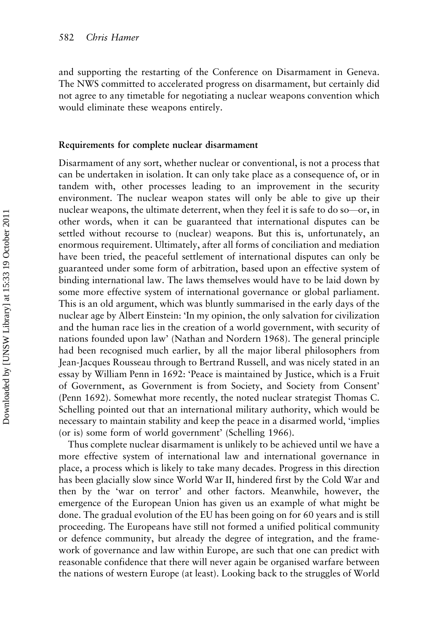and supporting the restarting of the Conference on Disarmament in Geneva. The NWS committed to accelerated progress on disarmament, but certainly did not agree to any timetable for negotiating a nuclear weapons convention which would eliminate these weapons entirely.

#### Requirements for complete nuclear disarmament

Disarmament of any sort, whether nuclear or conventional, is not a process that can be undertaken in isolation. It can only take place as a consequence of, or in tandem with, other processes leading to an improvement in the security environment. The nuclear weapon states will only be able to give up their nuclear weapons, the ultimate deterrent, when they feel it is safe to do so—or, in other words, when it can be guaranteed that international disputes can be settled without recourse to (nuclear) weapons. But this is, unfortunately, an enormous requirement. Ultimately, after all forms of conciliation and mediation have been tried, the peaceful settlement of international disputes can only be guaranteed under some form of arbitration, based upon an effective system of binding international law. The laws themselves would have to be laid down by some more effective system of international governance or global parliament. This is an old argument, which was bluntly summarised in the early days of the nuclear age by Albert Einstein: 'In my opinion, the only salvation for civilization and the human race lies in the creation of a world government, with security of nations founded upon law' (Nathan and Nordern 1968). The general principle had been recognised much earlier, by all the major liberal philosophers from Jean-Jacques Rousseau through to Bertrand Russell, and was nicely stated in an essay by William Penn in 1692: 'Peace is maintained by Justice, which is a Fruit of Government, as Government is from Society, and Society from Consent' (Penn 1692). Somewhat more recently, the noted nuclear strategist Thomas C. Schelling pointed out that an international military authority, which would be necessary to maintain stability and keep the peace in a disarmed world, 'implies (or is) some form of world government' (Schelling 1966).

Thus complete nuclear disarmament is unlikely to be achieved until we have a more effective system of international law and international governance in place, a process which is likely to take many decades. Progress in this direction has been glacially slow since World War II, hindered first by the Cold War and then by the 'war on terror' and other factors. Meanwhile, however, the emergence of the European Union has given us an example of what might be done. The gradual evolution of the EU has been going on for 60 years and is still proceeding. The Europeans have still not formed a unified political community or defence community, but already the degree of integration, and the framework of governance and law within Europe, are such that one can predict with reasonable confidence that there will never again be organised warfare between the nations of western Europe (at least). Looking back to the struggles of World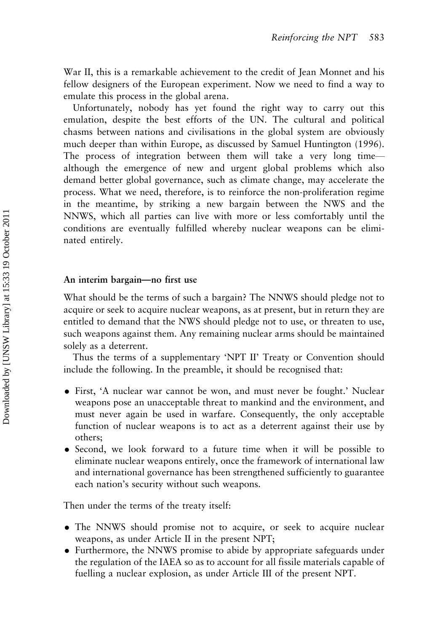War II, this is a remarkable achievement to the credit of Jean Monnet and his fellow designers of the European experiment. Now we need to find a way to emulate this process in the global arena.

Unfortunately, nobody has yet found the right way to carry out this emulation, despite the best efforts of the UN. The cultural and political chasms between nations and civilisations in the global system are obviously much deeper than within Europe, as discussed by Samuel Huntington (1996). The process of integration between them will take a very long time although the emergence of new and urgent global problems which also demand better global governance, such as climate change, may accelerate the process. What we need, therefore, is to reinforce the non-proliferation regime in the meantime, by striking a new bargain between the NWS and the NNWS, which all parties can live with more or less comfortably until the conditions are eventually fulfilled whereby nuclear weapons can be eliminated entirely.

#### An interim bargain-no first use

What should be the terms of such a bargain? The NNWS should pledge not to acquire or seek to acquire nuclear weapons, as at present, but in return they are entitled to demand that the NWS should pledge not to use, or threaten to use, such weapons against them. Any remaining nuclear arms should be maintained solely as a deterrent.

Thus the terms of a supplementary 'NPT II' Treaty or Convention should include the following. In the preamble, it should be recognised that:

- . First, 'A nuclear war cannot be won, and must never be fought.' Nuclear weapons pose an unacceptable threat to mankind and the environment, and must never again be used in warfare. Consequently, the only acceptable function of nuclear weapons is to act as a deterrent against their use by others;
- . Second, we look forward to a future time when it will be possible to eliminate nuclear weapons entirely, once the framework of international law and international governance has been strengthened sufficiently to guarantee each nation's security without such weapons.

Then under the terms of the treaty itself:

- . The NNWS should promise not to acquire, or seek to acquire nuclear weapons, as under Article II in the present NPT;
- . Furthermore, the NNWS promise to abide by appropriate safeguards under the regulation of the IAEA so as to account for all fissile materials capable of fuelling a nuclear explosion, as under Article III of the present NPT.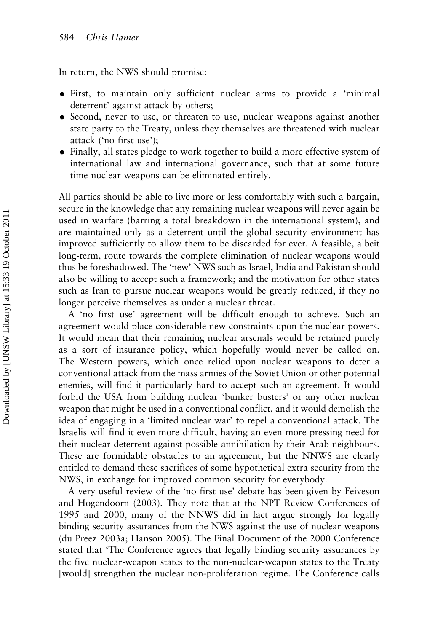In return, the NWS should promise:

- . First, to maintain only sufficient nuclear arms to provide a 'minimal deterrent' against attack by others;
- Second, never to use, or threaten to use, nuclear weapons against another state party to the Treaty, unless they themselves are threatened with nuclear attack ('no first use');
- . Finally, all states pledge to work together to build a more effective system of international law and international governance, such that at some future time nuclear weapons can be eliminated entirely.

All parties should be able to live more or less comfortably with such a bargain, secure in the knowledge that any remaining nuclear weapons will never again be used in warfare (barring a total breakdown in the international system), and are maintained only as a deterrent until the global security environment has improved sufficiently to allow them to be discarded for ever. A feasible, albeit long-term, route towards the complete elimination of nuclear weapons would thus be foreshadowed. The 'new' NWS such as Israel, India and Pakistan should also be willing to accept such a framework; and the motivation for other states such as Iran to pursue nuclear weapons would be greatly reduced, if they no longer perceive themselves as under a nuclear threat.

A 'no first use' agreement will be difficult enough to achieve. Such an agreement would place considerable new constraints upon the nuclear powers. It would mean that their remaining nuclear arsenals would be retained purely as a sort of insurance policy, which hopefully would never be called on. The Western powers, which once relied upon nuclear weapons to deter a conventional attack from the mass armies of the Soviet Union or other potential enemies, will find it particularly hard to accept such an agreement. It would forbid the USA from building nuclear 'bunker busters' or any other nuclear weapon that might be used in a conventional conflict, and it would demolish the idea of engaging in a 'limited nuclear war' to repel a conventional attack. The Israelis will find it even more difficult, having an even more pressing need for their nuclear deterrent against possible annihilation by their Arab neighbours. These are formidable obstacles to an agreement, but the NNWS are clearly entitled to demand these sacrifices of some hypothetical extra security from the NWS, in exchange for improved common security for everybody.

A very useful review of the 'no first use' debate has been given by Feiveson and Hogendoorn (2003). They note that at the NPT Review Conferences of 1995 and 2000, many of the NNWS did in fact argue strongly for legally binding security assurances from the NWS against the use of nuclear weapons (du Preez 2003a; Hanson 2005). The Final Document of the 2000 Conference stated that 'The Conference agrees that legally binding security assurances by the five nuclear-weapon states to the non-nuclear-weapon states to the Treaty [would] strengthen the nuclear non-proliferation regime. The Conference calls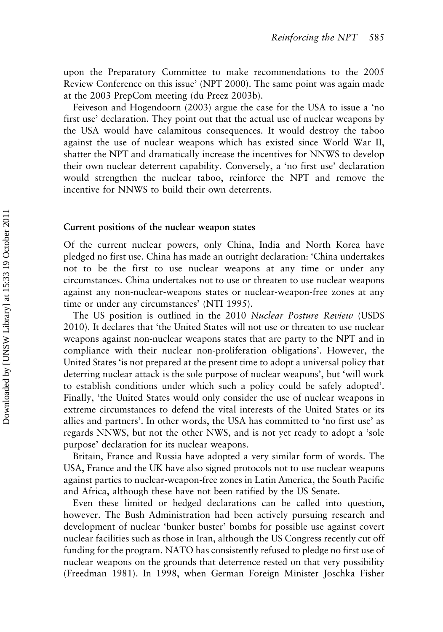upon the Preparatory Committee to make recommendations to the 2005 Review Conference on this issue' (NPT 2000). The same point was again made at the 2003 PrepCom meeting (du Preez 2003b).

Feiveson and Hogendoorn (2003) argue the case for the USA to issue a 'no first use' declaration. They point out that the actual use of nuclear weapons by the USA would have calamitous consequences. It would destroy the taboo against the use of nuclear weapons which has existed since World War II, shatter the NPT and dramatically increase the incentives for NNWS to develop their own nuclear deterrent capability. Conversely, a 'no first use' declaration would strengthen the nuclear taboo, reinforce the NPT and remove the incentive for NNWS to build their own deterrents.

#### Current positions of the nuclear weapon states

Of the current nuclear powers, only China, India and North Korea have pledged no first use. China has made an outright declaration: 'China undertakes not to be the first to use nuclear weapons at any time or under any circumstances. China undertakes not to use or threaten to use nuclear weapons against any non-nuclear-weapons states or nuclear-weapon-free zones at any time or under any circumstances' (NTI 1995).

The US position is outlined in the 2010 Nuclear Posture Review (USDS 2010). It declares that 'the United States will not use or threaten to use nuclear weapons against non-nuclear weapons states that are party to the NPT and in compliance with their nuclear non-proliferation obligations'. However, the United States 'is not prepared at the present time to adopt a universal policy that deterring nuclear attack is the sole purpose of nuclear weapons', but 'will work to establish conditions under which such a policy could be safely adopted'. Finally, 'the United States would only consider the use of nuclear weapons in extreme circumstances to defend the vital interests of the United States or its allies and partners'. In other words, the USA has committed to 'no first use' as regards NNWS, but not the other NWS, and is not yet ready to adopt a 'sole purpose' declaration for its nuclear weapons.

Britain, France and Russia have adopted a very similar form of words. The USA, France and the UK have also signed protocols not to use nuclear weapons against parties to nuclear-weapon-free zones in Latin America, the South Pacific and Africa, although these have not been ratified by the US Senate.

Even these limited or hedged declarations can be called into question, however. The Bush Administration had been actively pursuing research and development of nuclear 'bunker buster' bombs for possible use against covert nuclear facilities such as those in Iran, although the US Congress recently cut off funding for the program. NATO has consistently refused to pledge no first use of nuclear weapons on the grounds that deterrence rested on that very possibility (Freedman 1981). In 1998, when German Foreign Minister Joschka Fisher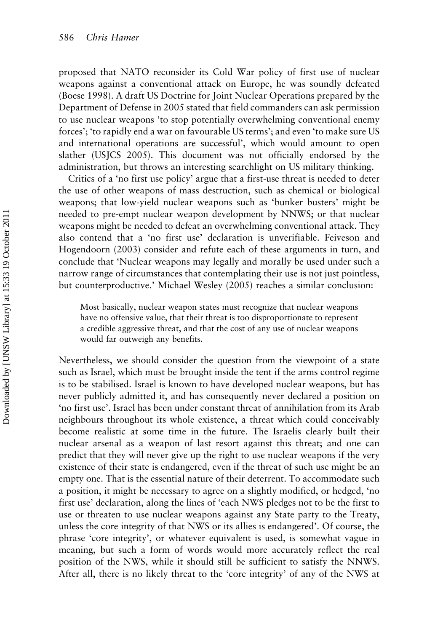proposed that NATO reconsider its Cold War policy of first use of nuclear weapons against a conventional attack on Europe, he was soundly defeated (Boese 1998). A draft US Doctrine for Joint Nuclear Operations prepared by the Department of Defense in 2005 stated that field commanders can ask permission to use nuclear weapons 'to stop potentially overwhelming conventional enemy forces'; 'to rapidly end a war on favourable US terms'; and even 'to make sure US and international operations are successful', which would amount to open slather (USJCS 2005). This document was not officially endorsed by the administration, but throws an interesting searchlight on US military thinking.

Critics of a 'no first use policy' argue that a first-use threat is needed to deter the use of other weapons of mass destruction, such as chemical or biological weapons; that low-yield nuclear weapons such as 'bunker busters' might be needed to pre-empt nuclear weapon development by NNWS; or that nuclear weapons might be needed to defeat an overwhelming conventional attack. They also contend that a 'no first use' declaration is unverifiable. Feiveson and Hogendoorn (2003) consider and refute each of these arguments in turn, and conclude that 'Nuclear weapons may legally and morally be used under such a narrow range of circumstances that contemplating their use is not just pointless, but counterproductive.' Michael Wesley (2005) reaches a similar conclusion:

Most basically, nuclear weapon states must recognize that nuclear weapons have no offensive value, that their threat is too disproportionate to represent a credible aggressive threat, and that the cost of any use of nuclear weapons would far outweigh any benefits.

Nevertheless, we should consider the question from the viewpoint of a state such as Israel, which must be brought inside the tent if the arms control regime is to be stabilised. Israel is known to have developed nuclear weapons, but has never publicly admitted it, and has consequently never declared a position on 'no first use'. Israel has been under constant threat of annihilation from its Arab neighbours throughout its whole existence, a threat which could conceivably become realistic at some time in the future. The Israelis clearly built their nuclear arsenal as a weapon of last resort against this threat; and one can predict that they will never give up the right to use nuclear weapons if the very existence of their state is endangered, even if the threat of such use might be an empty one. That is the essential nature of their deterrent. To accommodate such a position, it might be necessary to agree on a slightly modified, or hedged, 'no first use' declaration, along the lines of 'each NWS pledges not to be the first to use or threaten to use nuclear weapons against any State party to the Treaty, unless the core integrity of that NWS or its allies is endangered'. Of course, the phrase 'core integrity', or whatever equivalent is used, is somewhat vague in meaning, but such a form of words would more accurately reflect the real position of the NWS, while it should still be sufficient to satisfy the NNWS. After all, there is no likely threat to the 'core integrity' of any of the NWS at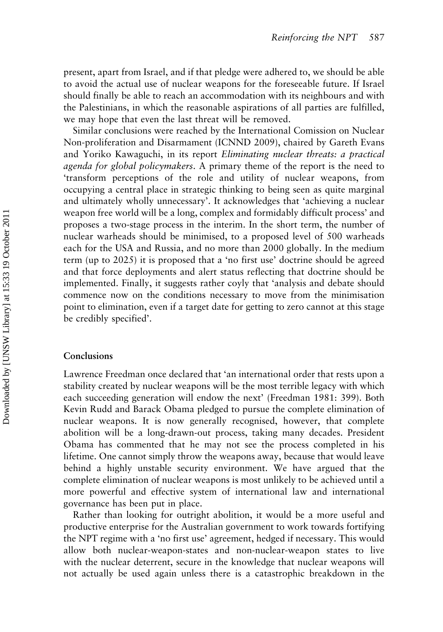present, apart from Israel, and if that pledge were adhered to, we should be able to avoid the actual use of nuclear weapons for the foreseeable future. If Israel should finally be able to reach an accommodation with its neighbours and with the Palestinians, in which the reasonable aspirations of all parties are fulfilled, we may hope that even the last threat will be removed.

Similar conclusions were reached by the International Comission on Nuclear Non-proliferation and Disarmament (ICNND 2009), chaired by Gareth Evans and Yoriko Kawaguchi, in its report Eliminating nuclear threats: a practical agenda for global policymakers. A primary theme of the report is the need to 'transform perceptions of the role and utility of nuclear weapons, from occupying a central place in strategic thinking to being seen as quite marginal and ultimately wholly unnecessary'. It acknowledges that 'achieving a nuclear weapon free world will be a long, complex and formidably difficult process' and proposes a two-stage process in the interim. In the short term, the number of nuclear warheads should be minimised, to a proposed level of 500 warheads each for the USA and Russia, and no more than 2000 globally. In the medium term (up to 2025) it is proposed that a 'no first use' doctrine should be agreed and that force deployments and alert status reflecting that doctrine should be implemented. Finally, it suggests rather coyly that 'analysis and debate should commence now on the conditions necessary to move from the minimisation point to elimination, even if a target date for getting to zero cannot at this stage be credibly specified'.

#### Conclusions

Lawrence Freedman once declared that 'an international order that rests upon a stability created by nuclear weapons will be the most terrible legacy with which each succeeding generation will endow the next' (Freedman 1981: 399). Both Kevin Rudd and Barack Obama pledged to pursue the complete elimination of nuclear weapons. It is now generally recognised, however, that complete abolition will be a long-drawn-out process, taking many decades. President Obama has commented that he may not see the process completed in his lifetime. One cannot simply throw the weapons away, because that would leave behind a highly unstable security environment. We have argued that the complete elimination of nuclear weapons is most unlikely to be achieved until a more powerful and effective system of international law and international governance has been put in place.

Rather than looking for outright abolition, it would be a more useful and productive enterprise for the Australian government to work towards fortifying the NPT regime with a 'no first use' agreement, hedged if necessary. This would allow both nuclear-weapon-states and non-nuclear-weapon states to live with the nuclear deterrent, secure in the knowledge that nuclear weapons will not actually be used again unless there is a catastrophic breakdown in the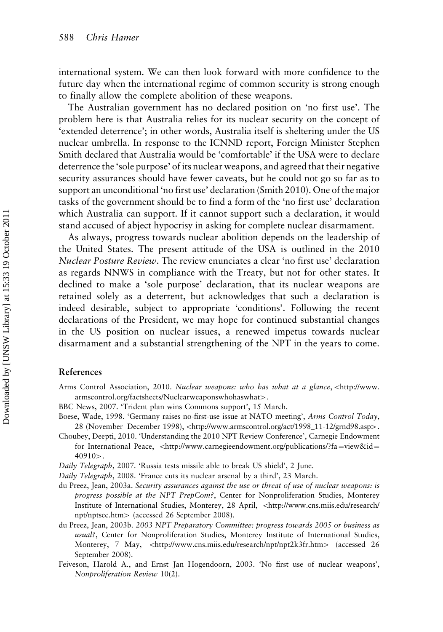international system. We can then look forward with more confidence to the future day when the international regime of common security is strong enough to finally allow the complete abolition of these weapons.

The Australian government has no declared position on 'no first use'. The problem here is that Australia relies for its nuclear security on the concept of 'extended deterrence'; in other words, Australia itself is sheltering under the US nuclear umbrella. In response to the ICNND report, Foreign Minister Stephen Smith declared that Australia would be 'comfortable' if the USA were to declare deterrence the 'sole purpose' of its nuclear weapons, and agreed that their negative security assurances should have fewer caveats, but he could not go so far as to support an unconditional 'no first use' declaration (Smith 2010). One of the major tasks of the government should be to find a form of the 'no first use' declaration which Australia can support. If it cannot support such a declaration, it would stand accused of abject hypocrisy in asking for complete nuclear disarmament.

As always, progress towards nuclear abolition depends on the leadership of the United States. The present attitude of the USA is outlined in the 2010 Nuclear Posture Review. The review enunciates a clear 'no first use' declaration as regards NNWS in compliance with the Treaty, but not for other states. It declined to make a 'sole purpose' declaration, that its nuclear weapons are retained solely as a deterrent, but acknowledges that such a declaration is indeed desirable, subject to appropriate 'conditions'. Following the recent declarations of the President, we may hope for continued substantial changes in the US position on nuclear issues, a renewed impetus towards nuclear disarmament and a substantial strengthening of the NPT in the years to come.

#### References

- Arms Control Association, 2010. Nuclear weapons: who has what at a glance, <[http://www.](http://www.armscontrol.org/factsheets/Nuclearweaponswhohaswhat) [armscontrol.org/factsheets/Nuclearweaponswhohaswhat](http://www.armscontrol.org/factsheets/Nuclearweaponswhohaswhat)-.
- BBC News, 2007. 'Trident plan wins Commons support', 15 March.
- Boese, Wade, 1998. 'Germany raises no-first-use issue at NATO meeting', Arms Control Today, 28 (November–December 1998), <[http://www.armscontrol.org/act/1998\\_11-12/grnd98.asp](http://www.armscontrol.org/act/1998_11-12/grnd98.asp)>.
- Choubey, Deepti, 2010. 'Understanding the 2010 NPT Review Conference', Carnegie Endowment for International Peace,  $\lt$ [http://www.carnegieendowment.org/publications/?fa](http://www.carnegieendowment.org/publications/?fa=viewid=40910)=[view&id](http://www.carnegieendowment.org/publications/?fa=viewid=40910)= [40910](http://www.carnegieendowment.org/publications/?fa=viewid=40910)>.

Daily Telegraph, 2007. 'Russia tests missile able to break US shield', 2 June.

Daily Telegraph, 2008. 'France cuts its nuclear arsenal by a third', 23 March.

- du Preez, Jean, 2003a. Security assurances against the use or threat of use of nuclear weapons: is progress possible at the NPT PrepCom?, Center for Nonproliferation Studies, Monterey Institute of International Studies, Monterey, 28 April, <[http://www.cns.miis.edu/research/](http://www.cns.miis.edu/research/npt/nptsec.htm) [npt/nptsec.htm](http://www.cns.miis.edu/research/npt/nptsec.htm)- (accessed 26 September 2008).
- du Preez, Jean, 2003b. 2003 NPT Preparatory Committee: progress towards 2005 or business as usual?, Center for Nonproliferation Studies, Monterey Institute of International Studies, Monterey, 7 May, <<http://www.cns.miis.edu/research/npt/npt2k3fr.htm>> (accessed 26 September 2008).
- Feiveson, Harold A., and Ernst Jan Hogendoorn, 2003. 'No first use of nuclear weapons', Nonproliferation Review 10(2).